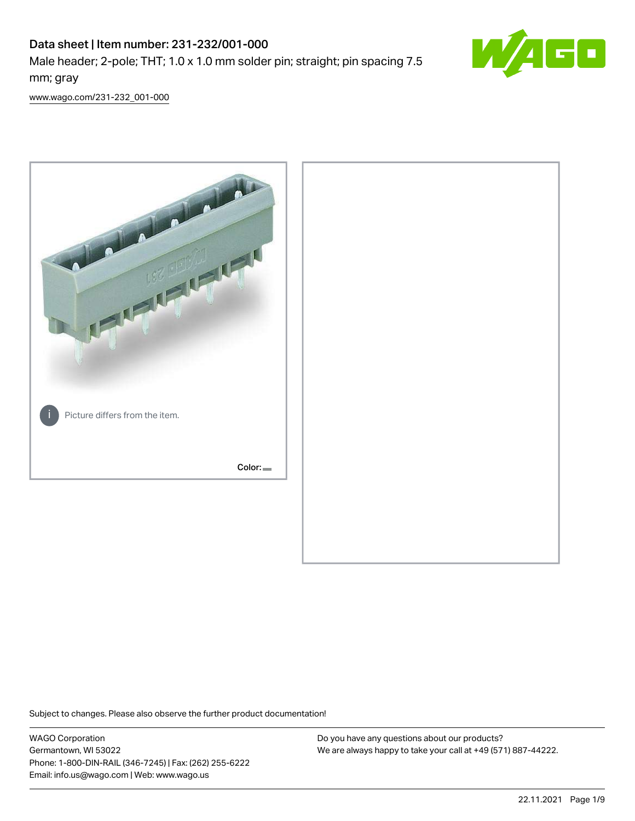# Data sheet | Item number: 231-232/001-000 Male header; 2-pole; THT; 1.0 x 1.0 mm solder pin; straight; pin spacing 7.5 mm; gray



[www.wago.com/231-232\\_001-000](http://www.wago.com/231-232_001-000)



Subject to changes. Please also observe the further product documentation!

WAGO Corporation Germantown, WI 53022 Phone: 1-800-DIN-RAIL (346-7245) | Fax: (262) 255-6222 Email: info.us@wago.com | Web: www.wago.us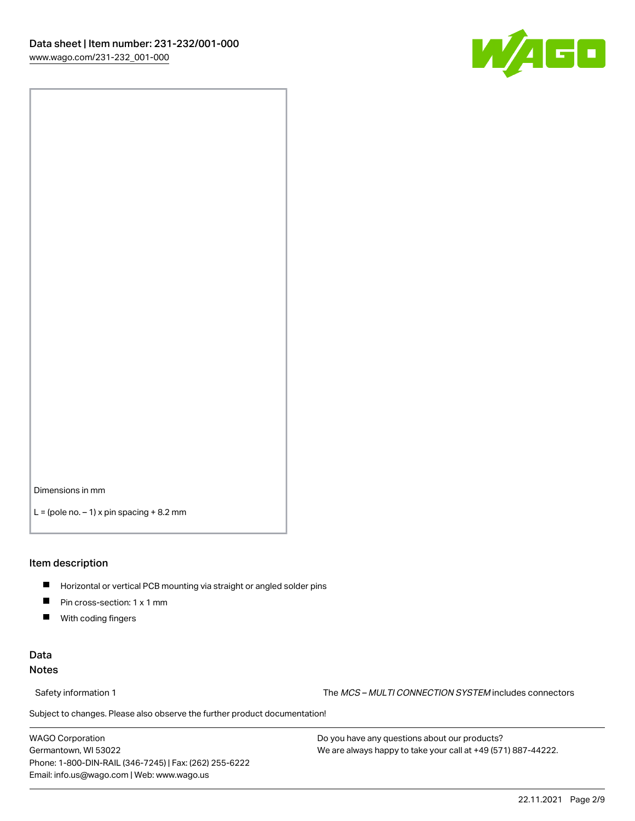

Dimensions in mm

 $L =$  (pole no.  $-1$ ) x pin spacing  $+8.2$  mm

### Item description

- **Horizontal or vertical PCB mounting via straight or angled solder pins**
- **Pin cross-section: 1 x 1 mm**
- $\blacksquare$ With coding fingers

### Data Notes

Safety information 1 The MCS – MULTI CONNECTION SYSTEM includes connectors

Subject to changes. Please also observe the further product documentation!  $\nu$ 

WAGO Corporation Germantown, WI 53022 Phone: 1-800-DIN-RAIL (346-7245) | Fax: (262) 255-6222 Email: info.us@wago.com | Web: www.wago.us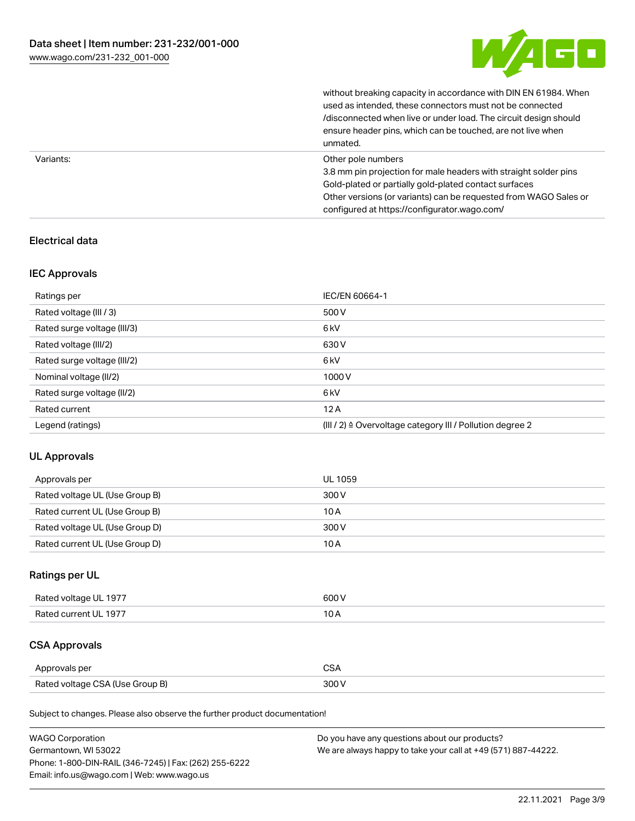

without breaking capacity in accordance with DIN EN 61984. When

|           | used as intended, these connectors must not be connected<br>/disconnected when live or under load. The circuit design should<br>ensure header pins, which can be touched, are not live when<br>unmated.                                                             |
|-----------|---------------------------------------------------------------------------------------------------------------------------------------------------------------------------------------------------------------------------------------------------------------------|
| Variants: | Other pole numbers<br>3.8 mm pin projection for male headers with straight solder pins<br>Gold-plated or partially gold-plated contact surfaces<br>Other versions (or variants) can be requested from WAGO Sales or<br>configured at https://configurator.wago.com/ |

## Electrical data

### IEC Approvals

| Ratings per                 | IEC/EN 60664-1                                                        |
|-----------------------------|-----------------------------------------------------------------------|
| Rated voltage (III / 3)     | 500 V                                                                 |
| Rated surge voltage (III/3) | 6 <sub>kV</sub>                                                       |
| Rated voltage (III/2)       | 630 V                                                                 |
| Rated surge voltage (III/2) | 6 <sub>kV</sub>                                                       |
| Nominal voltage (II/2)      | 1000V                                                                 |
| Rated surge voltage (II/2)  | 6 <sub>kV</sub>                                                       |
| Rated current               | 12A                                                                   |
| Legend (ratings)            | $(III / 2)$ $\triangle$ Overvoltage category III / Pollution degree 2 |

### UL Approvals

| Approvals per                  | UL 1059 |
|--------------------------------|---------|
| Rated voltage UL (Use Group B) | 300 V   |
| Rated current UL (Use Group B) | 10 A    |
| Rated voltage UL (Use Group D) | 300 V   |
| Rated current UL (Use Group D) | 10 A    |

# Ratings per UL

| Rated voltage UL 1977 | 600V   |
|-----------------------|--------|
| Rated current UL 1977 | $\sim$ |

# CSA Approvals

| Approvals per                   | ~~    |
|---------------------------------|-------|
| Rated voltage CSA (Use Group B) | 3UU 1 |

Subject to changes. Please also observe the further product documentation!

| <b>WAGO Corporation</b>                                | Do you have any questions about our products?                 |
|--------------------------------------------------------|---------------------------------------------------------------|
| Germantown, WI 53022                                   | We are always happy to take your call at +49 (571) 887-44222. |
| Phone: 1-800-DIN-RAIL (346-7245)   Fax: (262) 255-6222 |                                                               |
| Email: info.us@wago.com   Web: www.wago.us             |                                                               |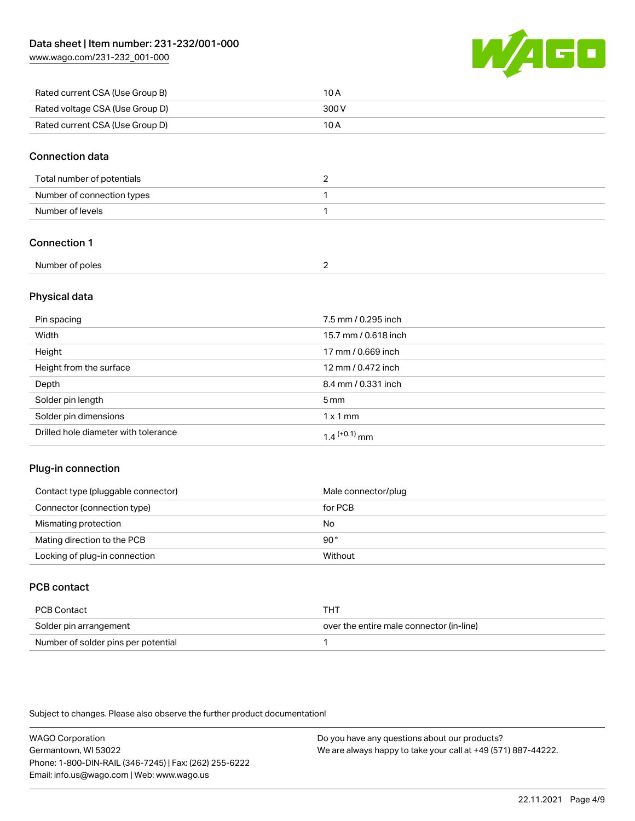[www.wago.com/231-232\\_001-000](http://www.wago.com/231-232_001-000)



| Rated current CSA (Use Group B) | 10 A  |
|---------------------------------|-------|
| Rated voltage CSA (Use Group D) | 300 V |
| Rated current CSA (Use Group D) | 10 A  |

### Connection data

| Total number of potentials |  |
|----------------------------|--|
| Number of connection types |  |
| Number of levels           |  |

### Connection 1

| Number of poles |  |
|-----------------|--|

### Physical data

| Pin spacing                          | 7.5 mm / 0.295 inch  |
|--------------------------------------|----------------------|
| Width                                | 15.7 mm / 0.618 inch |
| Height                               | 17 mm / 0.669 inch   |
| Height from the surface              | 12 mm / 0.472 inch   |
| Depth                                | 8.4 mm / 0.331 inch  |
| Solder pin length                    | $5 \,\mathrm{mm}$    |
| Solder pin dimensions                | $1 \times 1$ mm      |
| Drilled hole diameter with tolerance | $1.4$ $(+0.1)$ mm    |

### Plug-in connection

| Contact type (pluggable connector) | Male connector/plug |
|------------------------------------|---------------------|
| Connector (connection type)        | for PCB             |
| Mismating protection               | No                  |
| Mating direction to the PCB        | $90^{\circ}$        |
| Locking of plug-in connection      | Without             |

# PCB contact

| PCB Contact                         | THT                                      |
|-------------------------------------|------------------------------------------|
| Solder pin arrangement              | over the entire male connector (in-line) |
| Number of solder pins per potential |                                          |

Subject to changes. Please also observe the further product documentation!

WAGO Corporation Germantown, WI 53022 Phone: 1-800-DIN-RAIL (346-7245) | Fax: (262) 255-6222 Email: info.us@wago.com | Web: www.wago.us Do you have any questions about our products? We are always happy to take your call at +49 (571) 887-44222.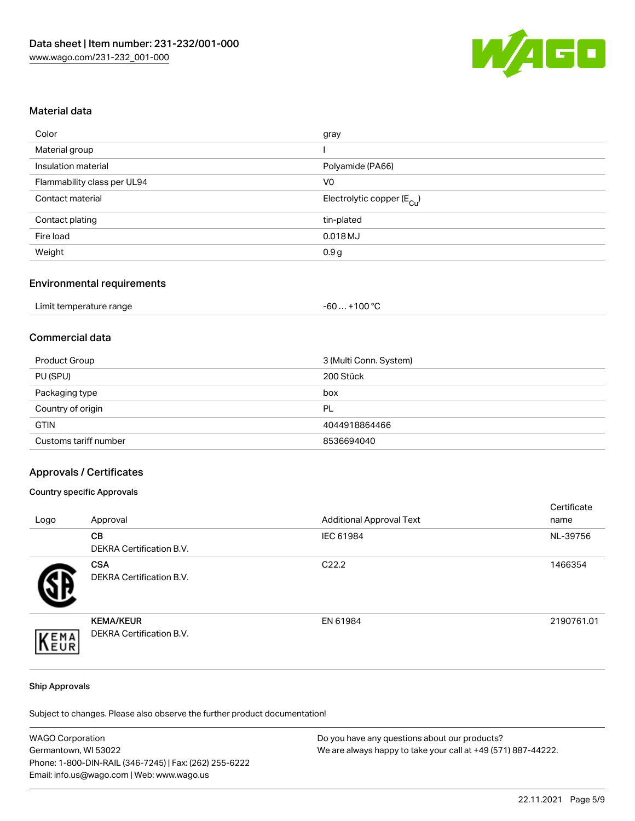

### Material data

| gray                                   |
|----------------------------------------|
|                                        |
| Polyamide (PA66)                       |
| V <sub>0</sub>                         |
| Electrolytic copper (E <sub>Cu</sub> ) |
| tin-plated                             |
| $0.018$ MJ                             |
| 0.9 <sub>g</sub>                       |
|                                        |

### Environmental requirements

| Limit temperature range | . +100 °C<br>-60 |
|-------------------------|------------------|
|-------------------------|------------------|

### Commercial data

| Product Group         | 3 (Multi Conn. System) |
|-----------------------|------------------------|
| PU (SPU)              | 200 Stück              |
| Packaging type        | box                    |
| Country of origin     | PL                     |
| <b>GTIN</b>           | 4044918864466          |
| Customs tariff number | 8536694040             |

### Approvals / Certificates

### Country specific Approvals

| Logo | Approval                                            | <b>Additional Approval Text</b> | Certificate<br>name |
|------|-----------------------------------------------------|---------------------------------|---------------------|
|      | <b>CB</b><br>DEKRA Certification B.V.               | IEC 61984                       | NL-39756            |
|      | <b>CSA</b><br>DEKRA Certification B.V.              | C <sub>22.2</sub>               | 1466354             |
| EMA  | <b>KEMA/KEUR</b><br><b>DEKRA Certification B.V.</b> | EN 61984                        | 2190761.01          |

#### Ship Approvals

Subject to changes. Please also observe the further product documentation!

| <b>WAGO Corporation</b>                                | Do you have any questions about our products?                 |
|--------------------------------------------------------|---------------------------------------------------------------|
| Germantown, WI 53022                                   | We are always happy to take your call at +49 (571) 887-44222. |
| Phone: 1-800-DIN-RAIL (346-7245)   Fax: (262) 255-6222 |                                                               |
| Email: info.us@wago.com   Web: www.wago.us             |                                                               |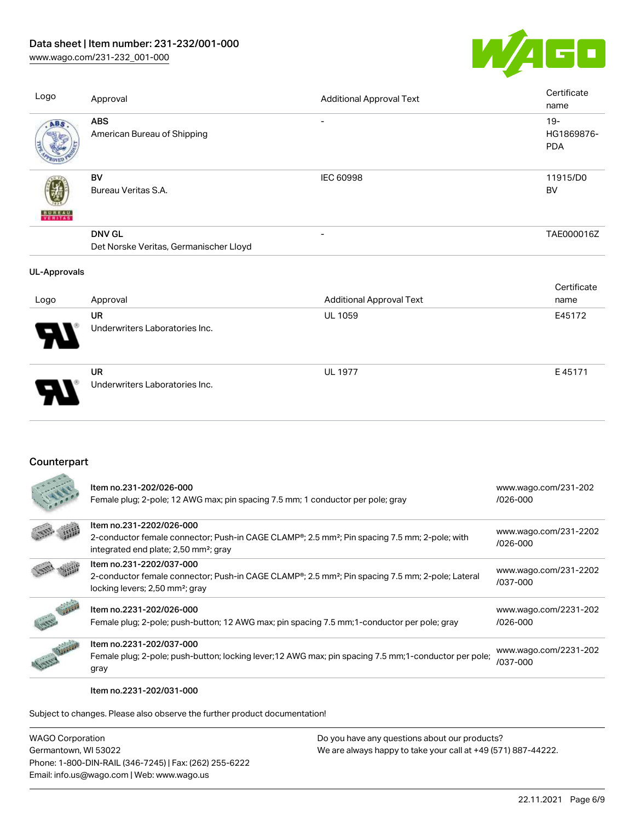# Data sheet | Item number: 231-232/001-000

[www.wago.com/231-232\\_001-000](http://www.wago.com/231-232_001-000)



| Logo                     | Approval                                                | <b>Additional Approval Text</b> | Certificate<br>name                |
|--------------------------|---------------------------------------------------------|---------------------------------|------------------------------------|
| ABS                      | <b>ABS</b><br>American Bureau of Shipping               |                                 | $19 -$<br>HG1869876-<br><b>PDA</b> |
| <b>BUNEAU</b><br>VERITAS | <b>BV</b><br>Bureau Veritas S.A.                        | IEC 60998                       | 11915/D0<br>BV                     |
|                          | <b>DNV GL</b><br>Det Norske Veritas, Germanischer Lloyd | $\overline{\phantom{a}}$        | TAE000016Z                         |
| <b>UL-Approvals</b>      |                                                         |                                 |                                    |
| Logo                     | Approval                                                | <b>Additional Approval Text</b> | Certificate<br>name                |
|                          | <b>UR</b><br>Underwriters Laboratories Inc.             | <b>UL 1059</b>                  | E45172                             |
|                          | UR<br>Underwriters Laboratories Inc.                    | <b>UL 1977</b>                  | E45171                             |

# **Counterpart**

|                 | Item no.231-202/026-000<br>Female plug; 2-pole; 12 AWG max; pin spacing 7.5 mm; 1 conductor per pole; gray                                                                                              | www.wago.com/231-202<br>$/026 - 000$  |
|-----------------|---------------------------------------------------------------------------------------------------------------------------------------------------------------------------------------------------------|---------------------------------------|
|                 | Item no.231-2202/026-000<br>2-conductor female connector; Push-in CAGE CLAMP <sup>®</sup> ; 2.5 mm <sup>2</sup> ; Pin spacing 7.5 mm; 2-pole; with<br>integrated end plate; 2,50 mm <sup>2</sup> ; gray | www.wago.com/231-2202<br>$/026 - 000$ |
|                 | Item no.231-2202/037-000<br>2-conductor female connector; Push-in CAGE CLAMP <sup>®</sup> ; 2.5 mm <sup>2</sup> ; Pin spacing 7.5 mm; 2-pole; Lateral<br>locking levers; 2,50 mm <sup>2</sup> ; gray    | www.wago.com/231-2202<br>/037-000     |
|                 | Item no.2231-202/026-000<br>Female plug; 2-pole; push-button; 12 AWG max; pin spacing 7.5 mm; 1-conductor per pole; gray                                                                                | www.wago.com/2231-202<br>$/026 - 000$ |
| <b>CONTROLL</b> | Item no.2231-202/037-000<br>Female plug; 2-pole; push-button; locking lever; 12 AWG max; pin spacing 7.5 mm; 1-conductor per pole;<br>gray                                                              | www.wago.com/2231-202<br>/037-000     |

#### Item no.2231-202/031-000

Subject to changes. Please also observe the further product documentation!

WAGO Corporation Germantown, WI 53022 Phone: 1-800-DIN-RAIL (346-7245) | Fax: (262) 255-6222 Email: info.us@wago.com | Web: www.wago.us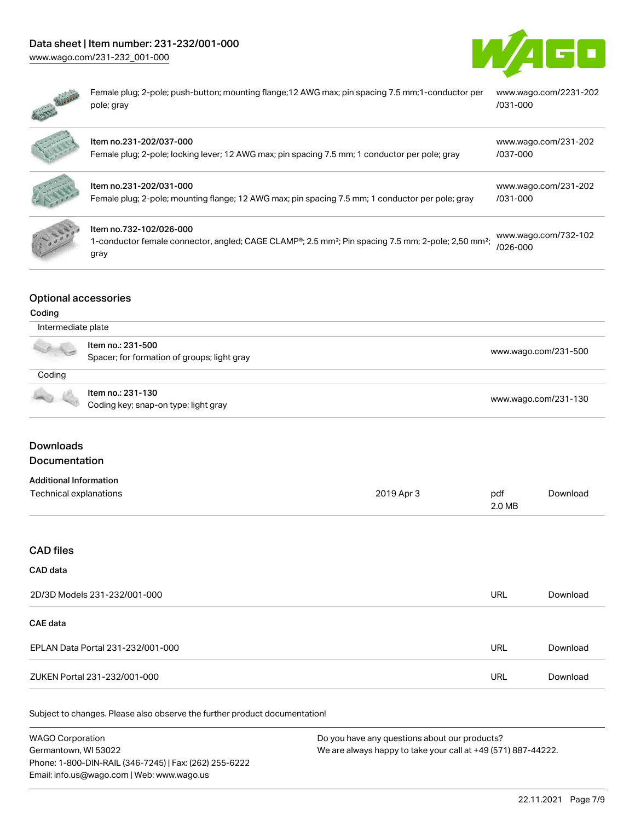# Data sheet | Item number: 231-232/001-000

[www.wago.com/231-232\\_001-000](http://www.wago.com/231-232_001-000)





Ġ

Female plug; 2-pole; push-button; mounting flange;12 AWG max; pin spacing 7.5 mm;1-conductor per pole; gray [www.wago.com/2231-202](https://www.wago.com/2231-202/031-000) [/031-000](https://www.wago.com/2231-202/031-000)

|               | Item no.231-202/037-000<br>Female plug; 2-pole; locking lever; 12 AWG max; pin spacing 7.5 mm; 1 conductor per pole; gray                                                   | www.wago.com/231-202<br>/037-000 |
|---------------|-----------------------------------------------------------------------------------------------------------------------------------------------------------------------------|----------------------------------|
|               | Item no.231-202/031-000<br>Female plug; 2-pole; mounting flange; 12 AWG max; pin spacing 7.5 mm; 1 conductor per pole; gray                                                 | www.wago.com/231-202<br>/031-000 |
| $\frac{1}{2}$ | Item no.732-102/026-000<br>1-conductor female connector, angled; CAGE CLAMP <sup>®</sup> ; 2.5 mm <sup>2</sup> ; Pin spacing 7.5 mm; 2-pole; 2,50 mm <sup>2</sup> ;<br>gray | www.wago.com/732-102<br>/026-000 |

# Optional accessories

### Coding

|        | Intermediate plate                                               |                      |  |
|--------|------------------------------------------------------------------|----------------------|--|
| a ya   | ltem no.: 231-500<br>Spacer; for formation of groups; light gray | www.wago.com/231-500 |  |
| Coding |                                                                  |                      |  |
|        | Item no.: 231-130<br>Coding key; snap-on type; light gray        | www.wago.com/231-130 |  |

# **Downloads**

# Documentation

| <b>Additional Information</b> |            |        |          |
|-------------------------------|------------|--------|----------|
| Technical explanations        | 2019 Apr 3 | pdf    | Download |
|                               |            | 2.0 MB |          |

### CAD files

# CAD data

| 2D/3D Models 231-232/001-000      | URL | Download |
|-----------------------------------|-----|----------|
| CAE data                          |     |          |
| EPLAN Data Portal 231-232/001-000 | URL | Download |
| ZUKEN Portal 231-232/001-000      | URL | Download |

Subject to changes. Please also observe the further product documentation!

| <b>WAGO Corporation</b>                                | Do you have any questions about our products?                 |
|--------------------------------------------------------|---------------------------------------------------------------|
| Germantown, WI 53022                                   | We are always happy to take your call at +49 (571) 887-44222. |
| Phone: 1-800-DIN-RAIL (346-7245)   Fax: (262) 255-6222 |                                                               |
| Email: info.us@wago.com   Web: www.wago.us             |                                                               |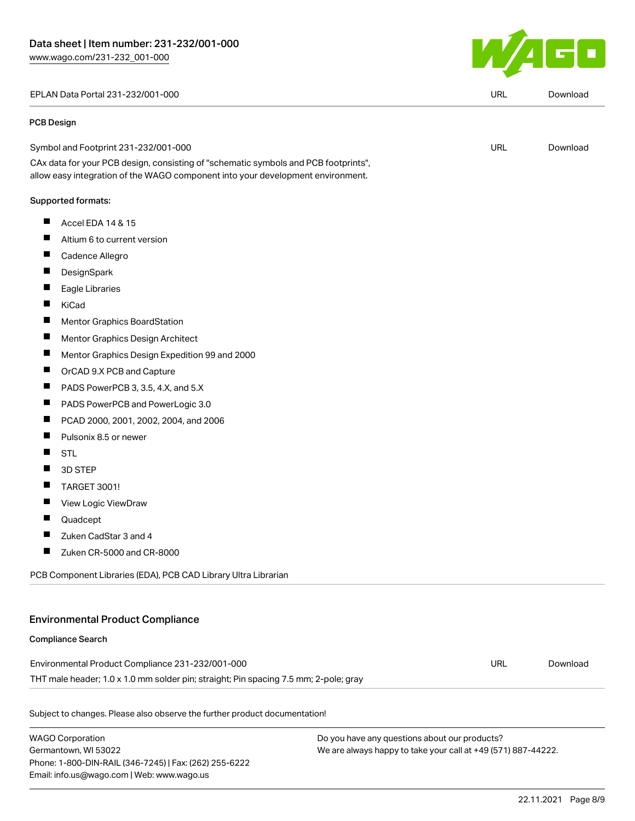#### EPLAN Data Portal 231-232/001-000 URL [Download](https://www.wago.com/global/d/EPLAN_URLS_231-232_001-000)

#### PCB Design

| Symbol and Footprint 231-232/001-000 | URL | Download |
|--------------------------------------|-----|----------|
|                                      |     |          |

CAx data for your PCB design, consisting of "schematic symbols and PCB footprints", allow easy integration of the WAGO component into your development environment.

#### Supported formats:

- $\blacksquare$ Accel EDA 14 & 15
- $\blacksquare$ Altium 6 to current version
- П Cadence Allegro
- П **DesignSpark**
- П Eagle Libraries
- П KiCad
- $\blacksquare$ Mentor Graphics BoardStation
- $\blacksquare$ Mentor Graphics Design Architect
- $\blacksquare$ Mentor Graphics Design Expedition 99 and 2000
- $\blacksquare$ OrCAD 9.X PCB and Capture
- $\blacksquare$ PADS PowerPCB 3, 3.5, 4.X, and 5.X
- $\blacksquare$ PADS PowerPCB and PowerLogic 3.0
- П PCAD 2000, 2001, 2002, 2004, and 2006
- $\blacksquare$ Pulsonix 8.5 or newer
- $\blacksquare$ STL
- $\blacksquare$ 3D STEP
- $\blacksquare$ TARGET 3001!
- $\blacksquare$ View Logic ViewDraw
- $\blacksquare$ Quadcept
- $\blacksquare$ Zuken CadStar 3 and 4
- $\blacksquare$ Zuken CR-5000 and CR-8000

PCB Component Libraries (EDA), PCB CAD Library Ultra Librarian

### Environmental Product Compliance

### Compliance Search

Environmental Product Compliance 231-232/001-000 THT male header; 1.0 x 1.0 mm solder pin; straight; Pin spacing 7.5 mm; 2-pole; gray URL [Download](https://www.wago.com/global/d/ComplianceLinkMediaContainer_231-232_001-000)

Subject to changes. Please also observe the further product documentation!

WAGO Corporation Germantown, WI 53022 Phone: 1-800-DIN-RAIL (346-7245) | Fax: (262) 255-6222 Email: info.us@wago.com | Web: www.wago.us